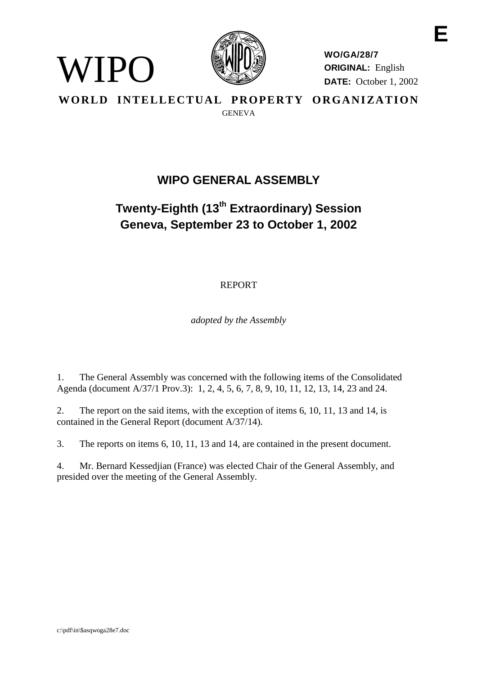

VIPO)

**WO/GA/28/7 ORIGINAL:** English **DATE:** October 1, 2002 **E**

WORLD INTELLECTUAL PROPERTY ORGANIZATION **GENEVA** 

# **WIPO GENERAL ASSEMBLY**

# **Twenty-Eighth (13th Extraordinary) Session Geneva, September 23 to October 1, 2002**

# REPORT

*adopted by the Assembly*

1. The General Assembly was concerned with the following items of the Consolidated Agenda (document A/37/1 Prov.3): 1, 2, 4, 5, 6, 7, 8, 9, 10, 11, 12, 13, 14, 23 and 24.

2. The report on the said items, with the exception of items 6, 10, 11, 13 and 14, is contained in the General Report (document A/37/14).

3. The reports on items 6, 10, 11, 13 and 14, are contained in the present document.

4. Mr. Bernard Kessedjian (France) was elected Chair of the General Assembly, and presided over the meeting of the General Assembly.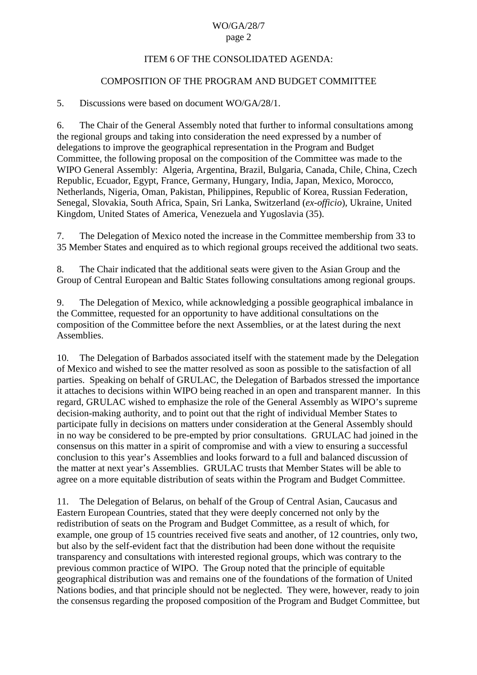# WO/GA/28/7

### page 2

# ITEM 6 OF THE CONSOLIDATED AGENDA:

# COMPOSITION OF THE PROGRAM AND BUDGET COMMITTEE

# 5. Discussions were based on document WO/GA/28/1.

6. The Chair of the General Assembly noted that further to informal consultations among the regional groups and taking into consideration the need expressed by a number of delegations to improve the geographical representation in the Program and Budget Committee, the following proposal on the composition of the Committee was made to the WIPO General Assembly: Algeria, Argentina, Brazil, Bulgaria, Canada, Chile, China, Czech Republic, Ecuador, Egypt, France, Germany, Hungary, India, Japan, Mexico, Morocco, Netherlands, Nigeria, Oman, Pakistan, Philippines, Republic of Korea, Russian Federation, Senegal, Slovakia, South Africa, Spain, Sri Lanka, Switzerland (*ex-officio*), Ukraine, United Kingdom, United States of America, Venezuela and Yugoslavia (35).

7. The Delegation of Mexico noted the increase in the Committee membership from 33 to 35 Member States and enquired as to which regional groups received the additional two seats.

8. The Chair indicated that the additional seats were given to the Asian Group and the Group of Central European and Baltic States following consultations among regional groups.

9. The Delegation of Mexico, while acknowledging a possible geographical imbalance in the Committee, requested for an opportunity to have additional consultations on the composition of the Committee before the next Assemblies, or at the latest during the next Assemblies.

10. The Delegation of Barbados associated itself with the statement made by the Delegation of Mexico and wished to see the matter resolved as soon as possible to the satisfaction of all parties. Speaking on behalf of GRULAC, the Delegation of Barbados stressed the importance it attaches to decisions within WIPO being reached in an open and transparent manner. In this regard, GRULAC wished to emphasize the role of the General Assembly as WIPO's supreme decision-making authority, and to point out that the right of individual Member States to participate fully in decisions on matters under consideration at the General Assembly should in no way be considered to be pre-empted by prior consultations. GRULAC had joined in the consensus on this matter in a spirit of compromise and with a view to ensuring a successful conclusion to this year's Assemblies and looks forward to a full and balanced discussion of the matter at next year's Assemblies. GRULAC trusts that Member States will be able to agree on a more equitable distribution of seats within the Program and Budget Committee.

11. The Delegation of Belarus, on behalf of the Group of Central Asian, Caucasus and Eastern European Countries, stated that they were deeply concerned not only by the redistribution of seats on the Program and Budget Committee, as a result of which, for example, one group of 15 countries received five seats and another, of 12 countries, only two, but also by the self-evident fact that the distribution had been done without the requisite transparency and consultations with interested regional groups, which was contrary to the previous common practice of WIPO. The Group noted that the principle of equitable geographical distribution was and remains one of the foundations of the formation of United Nations bodies, and that principle should not be neglected. They were, however, ready to join the consensus regarding the proposed composition of the Program and Budget Committee, but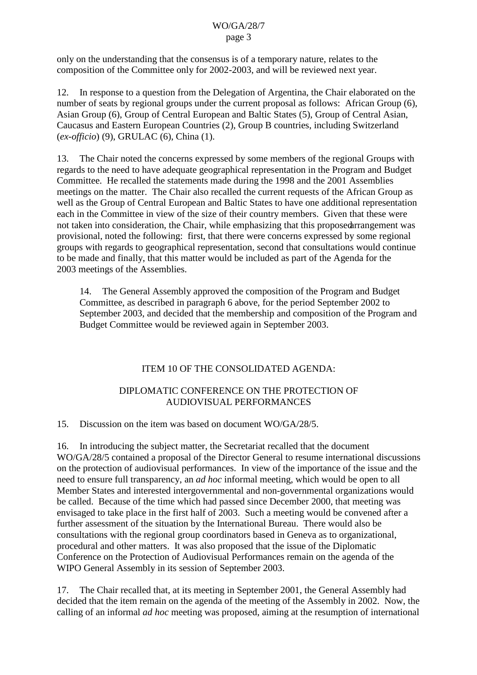only on the understanding that the consensus is of a temporary nature, relates to the composition of the Committee only for 2002-2003, and will be reviewed next year.

12. In response to a question from the Delegation of Argentina, the Chair elaborated on the number of seats by regional groups under the current proposal as follows: African Group (6), Asian Group (6), Group of Central European and Baltic States (5), Group of Central Asian, Caucasus and Eastern European Countries (2), Group B countries, including Switzerland (*ex-officio*) (9), GRULAC (6), China (1).

13. The Chair noted the concerns expressed by some members of the regional Groups with regards to the need to have adequate geographical representation in the Program and Budget Committee. He recalled the statements made during the 1998 and the 2001 Assemblies meetings on the matter. The Chair also recalled the current requests of the African Group as well as the Group of Central European and Baltic States to have one additional representation each in the Committee in view of the size of their country members. Given that these were not taken into consideration, the Chair, while emphasizing that this proposed arrangement was provisional, noted the following: first, that there were concerns expressed by some regional groups with regards to geographical representation, second that consultations would continue to be made and finally, that this matter would be included as part of the Agenda for the 2003 meetings of the Assemblies.

14. The General Assembly approved the composition of the Program and Budget Committee, as described in paragraph 6 above, for the period September 2002 to September 2003, and decided that the membership and composition of the Program and Budget Committee would be reviewed again in September 2003.

# ITEM 10 OF THE CONSOLIDATED AGENDA:

# DIPLOMATIC CONFERENCE ON THE PROTECTION OF AUDIOVISUAL PERFORMANCES

15. Discussion on the item was based on document WO/GA/28/5.

16. In introducing the subject matter, the Secretariat recalled that the document WO/GA/28/5 contained a proposal of the Director General to resume international discussions on the protection of audiovisual performances. In view of the importance of the issue and the need to ensure full transparency, an *ad hoc* informal meeting, which would be open to all Member States and interested intergovernmental and non-governmental organizations would be called. Because of the time which had passed since December 2000, that meeting was envisaged to take place in the first half of 2003. Such a meeting would be convened after a further assessment of the situation by the International Bureau. There would also be consultations with the regional group coordinators based in Geneva as to organizational, procedural and other matters. It was also proposed that the issue of the Diplomatic Conference on the Protection of Audiovisual Performances remain on the agenda of the WIPO General Assembly in its session of September 2003.

17. The Chair recalled that, at its meeting in September 2001, the General Assembly had decided that the item remain on the agenda of the meeting of the Assembly in 2002. Now, the calling of an informal *ad hoc* meeting was proposed, aiming at the resumption of international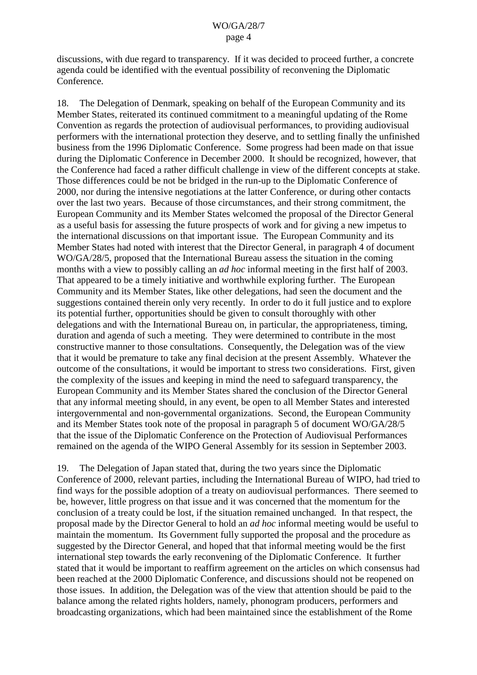discussions, with due regard to transparency. If it was decided to proceed further, a concrete agenda could be identified with the eventual possibility of reconvening the Diplomatic Conference.

18. The Delegation of Denmark, speaking on behalf of the European Community and its Member States, reiterated its continued commitment to a meaningful updating of the Rome Convention as regards the protection of audiovisual performances, to providing audiovisual performers with the international protection they deserve, and to settling finally the unfinished business from the 1996 Diplomatic Conference. Some progress had been made on that issue during the Diplomatic Conference in December 2000. It should be recognized, however, that the Conference had faced a rather difficult challenge in view of the different concepts at stake. Those differences could be not be bridged in the run-up to the Diplomatic Conference of 2000, nor during the intensive negotiations at the latter Conference, or during other contacts over the last two years. Because of those circumstances, and their strong commitment, the European Community and its Member States welcomed the proposal of the Director General as a useful basis for assessing the future prospects of work and for giving a new impetus to the international discussions on that important issue. The European Community and its Member States had noted with interest that the Director General, in paragraph 4 of document WO/GA/28/5, proposed that the International Bureau assess the situation in the coming months with a view to possibly calling an *ad hoc* informal meeting in the first half of 2003. That appeared to be a timely initiative and worthwhile exploring further. The European Community and its Member States, like other delegations, had seen the document and the suggestions contained therein only very recently. In order to do it full justice and to explore its potential further, opportunities should be given to consult thoroughly with other delegations and with the International Bureau on, in particular, the appropriateness, timing, duration and agenda of such a meeting. They were determined to contribute in the most constructive manner to those consultations. Consequently, the Delegation was of the view that it would be premature to take any final decision at the present Assembly. Whatever the outcome of the consultations, it would be important to stress two considerations. First, given the complexity of the issues and keeping in mind the need to safeguard transparency, the European Community and its Member States shared the conclusion of the Director General that any informal meeting should, in any event, be open to all Member States and interested intergovernmental and non-governmental organizations. Second, the European Community and its Member States took note of the proposal in paragraph 5 of document WO/GA/28/5 that the issue of the Diplomatic Conference on the Protection of Audiovisual Performances remained on the agenda of the WIPO General Assembly for its session in September 2003.

19. The Delegation of Japan stated that, during the two years since the Diplomatic Conference of 2000, relevant parties, including the International Bureau of WIPO, had tried to find ways for the possible adoption of a treaty on audiovisual performances. There seemed to be, however, little progress on that issue and it was concerned that the momentum for the conclusion of a treaty could be lost, if the situation remained unchanged. In that respect, the proposal made by the Director General to hold an *ad hoc* informal meeting would be useful to maintain the momentum. Its Government fully supported the proposal and the procedure as suggested by the Director General, and hoped that that informal meeting would be the first international step towards the early reconvening of the Diplomatic Conference. It further stated that it would be important to reaffirm agreement on the articles on which consensus had been reached at the 2000 Diplomatic Conference, and discussions should not be reopened on those issues. In addition, the Delegation was of the view that attention should be paid to the balance among the related rights holders, namely, phonogram producers, performers and broadcasting organizations, which had been maintained since the establishment of the Rome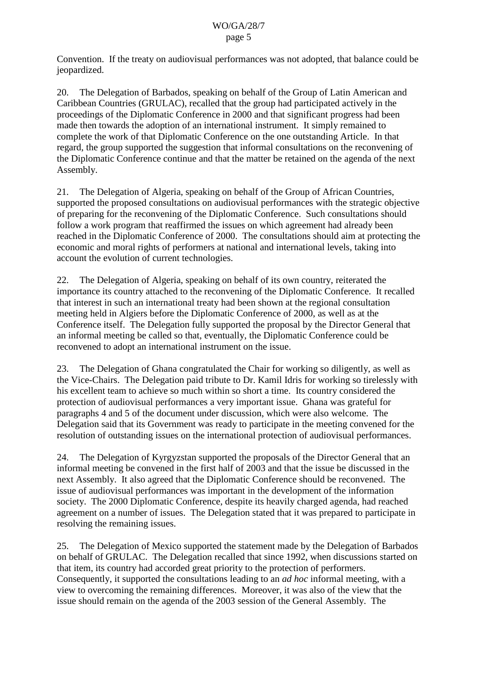Convention. If the treaty on audiovisual performances was not adopted, that balance could be jeopardized.

20. The Delegation of Barbados, speaking on behalf of the Group of Latin American and Caribbean Countries (GRULAC), recalled that the group had participated actively in the proceedings of the Diplomatic Conference in 2000 and that significant progress had been made then towards the adoption of an international instrument. It simply remained to complete the work of that Diplomatic Conference on the one outstanding Article. In that regard, the group supported the suggestion that informal consultations on the reconvening of the Diplomatic Conference continue and that the matter be retained on the agenda of the next Assembly.

21. The Delegation of Algeria, speaking on behalf of the Group of African Countries, supported the proposed consultations on audiovisual performances with the strategic objective of preparing for the reconvening of the Diplomatic Conference. Such consultations should follow a work program that reaffirmed the issues on which agreement had already been reached in the Diplomatic Conference of 2000. The consultations should aim at protecting the economic and moral rights of performers at national and international levels, taking into account the evolution of current technologies.

22. The Delegation of Algeria, speaking on behalf of its own country, reiterated the importance its country attached to the reconvening of the Diplomatic Conference. It recalled that interest in such an international treaty had been shown at the regional consultation meeting held in Algiers before the Diplomatic Conference of 2000, as well as at the Conference itself. The Delegation fully supported the proposal by the Director General that an informal meeting be called so that, eventually, the Diplomatic Conference could be reconvened to adopt an international instrument on the issue.

23. The Delegation of Ghana congratulated the Chair for working so diligently, as well as the Vice-Chairs. The Delegation paid tribute to Dr. Kamil Idris for working so tirelessly with his excellent team to achieve so much within so short a time. Its country considered the protection of audiovisual performances a very important issue. Ghana was grateful for paragraphs 4 and 5 of the document under discussion, which were also welcome. The Delegation said that its Government was ready to participate in the meeting convened for the resolution of outstanding issues on the international protection of audiovisual performances.

24. The Delegation of Kyrgyzstan supported the proposals of the Director General that an informal meeting be convened in the first half of 2003 and that the issue be discussed in the next Assembly. It also agreed that the Diplomatic Conference should be reconvened. The issue of audiovisual performances was important in the development of the information society. The 2000 Diplomatic Conference, despite its heavily charged agenda, had reached agreement on a number of issues. The Delegation stated that it was prepared to participate in resolving the remaining issues.

25. The Delegation of Mexico supported the statement made by the Delegation of Barbados on behalf of GRULAC. The Delegation recalled that since 1992, when discussions started on that item, its country had accorded great priority to the protection of performers. Consequently, it supported the consultations leading to an *ad hoc* informal meeting, with a view to overcoming the remaining differences. Moreover, it was also of the view that the issue should remain on the agenda of the 2003 session of the General Assembly. The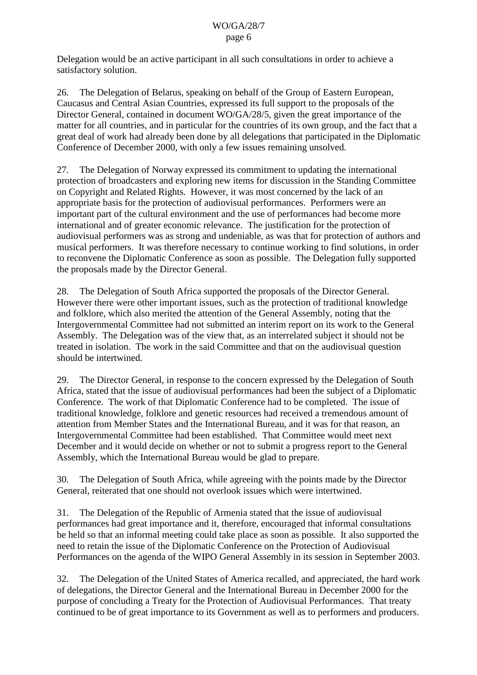Delegation would be an active participant in all such consultations in order to achieve a satisfactory solution.

26. The Delegation of Belarus, speaking on behalf of the Group of Eastern European, Caucasus and Central Asian Countries, expressed its full support to the proposals of the Director General, contained in document WO/GA/28/5, given the great importance of the matter for all countries, and in particular for the countries of its own group, and the fact that a great deal of work had already been done by all delegations that participated in the Diplomatic Conference of December 2000, with only a few issues remaining unsolved.

27. The Delegation of Norway expressed its commitment to updating the international protection of broadcasters and exploring new items for discussion in the Standing Committee on Copyright and Related Rights. However, it was most concerned by the lack of an appropriate basis for the protection of audiovisual performances. Performers were an important part of the cultural environment and the use of performances had become more international and of greater economic relevance. The justification for the protection of audiovisual performers was as strong and undeniable, as was that for protection of authors and musical performers. It was therefore necessary to continue working to find solutions, in order to reconvene the Diplomatic Conference as soon as possible. The Delegation fully supported the proposals made by the Director General.

28. The Delegation of South Africa supported the proposals of the Director General. However there were other important issues, such as the protection of traditional knowledge and folklore, which also merited the attention of the General Assembly, noting that the Intergovernmental Committee had not submitted an interim report on its work to the General Assembly. The Delegation was of the view that, as an interrelated subject it should not be treated in isolation. The work in the said Committee and that on the audiovisual question should be intertwined.

29. The Director General, in response to the concern expressed by the Delegation of South Africa, stated that the issue of audiovisual performances had been the subject of a Diplomatic Conference. The work of that Diplomatic Conference had to be completed. The issue of traditional knowledge, folklore and genetic resources had received a tremendous amount of attention from Member States and the International Bureau, and it was for that reason, an Intergovernmental Committee had been established. That Committee would meet next December and it would decide on whether or not to submit a progress report to the General Assembly, which the International Bureau would be glad to prepare.

30. The Delegation of South Africa, while agreeing with the points made by the Director General, reiterated that one should not overlook issues which were intertwined.

31. The Delegation of the Republic of Armenia stated that the issue of audiovisual performances had great importance and it, therefore, encouraged that informal consultations be held so that an informal meeting could take place as soon as possible. It also supported the need to retain the issue of the Diplomatic Conference on the Protection of Audiovisual Performances on the agenda of the WIPO General Assembly in its session in September 2003.

32. The Delegation of the United States of America recalled, and appreciated, the hard work of delegations, the Director General and the International Bureau in December 2000 for the purpose of concluding a Treaty for the Protection of Audiovisual Performances. That treaty continued to be of great importance to its Government as well as to performers and producers.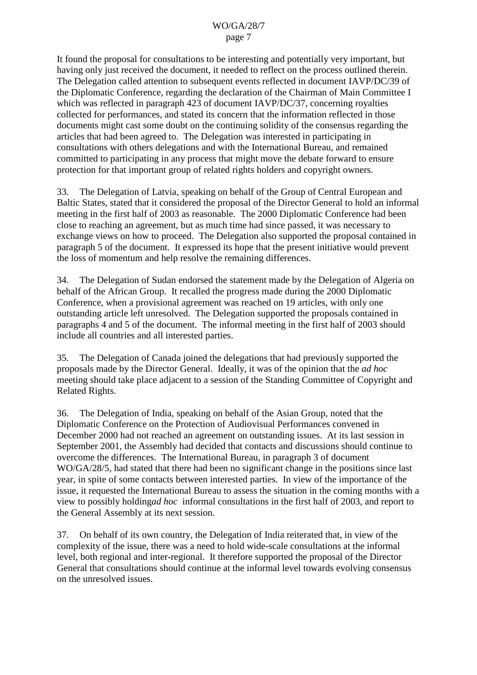It found the proposal for consultations to be interesting and potentially very important, but having only just received the document, it needed to reflect on the process outlined therein. The Delegation called attention to subsequent events reflected in document IAVP/DC/39 of the Diplomatic Conference, regarding the declaration of the Chairman of Main Committee I which was reflected in paragraph 423 of document IAVP/DC/37, concerning royalties collected for performances, and stated its concern that the information reflected in those documents might cast some doubt on the continuing solidity of the consensus regarding the articles that had been agreed to. The Delegation was interested in participating in consultations with others delegations and with the International Bureau, and remained committed to participating in any process that might move the debate forward to ensure protection for that important group of related rights holders and copyright owners.

33. The Delegation of Latvia, speaking on behalf of the Group of Central European and Baltic States, stated that it considered the proposal of the Director General to hold an informal meeting in the first half of 2003 as reasonable. The 2000 Diplomatic Conference had been close to reaching an agreement, but as much time had since passed, it was necessary to exchange views on how to proceed. The Delegation also supported the proposal contained in paragraph 5 of the document. It expressed its hope that the present initiative would prevent the loss of momentum and help resolve the remaining differences.

34. The Delegation of Sudan endorsed the statement made by the Delegation of Algeria on behalf of the African Group. It recalled the progress made during the 2000 Diplomatic Conference, when a provisional agreement was reached on 19 articles, with only one outstanding article left unresolved. The Delegation supported the proposals contained in paragraphs 4 and 5 of the document. The informal meeting in the first half of 2003 should include all countries and all interested parties.

35. The Delegation of Canada joined the delegations that had previously supported the proposals made by the Director General. Ideally, it was of the opinion that the *ad hoc* meeting should take place adjacent to a session of the Standing Committee of Copyright and Related Rights.

36. The Delegation of India, speaking on behalf of the Asian Group, noted that the Diplomatic Conference on the Protection of Audiovisual Performances convened in December 2000 had not reached an agreement on outstanding issues. At its last session in September 2001, the Assembly had decided that contacts and discussions should continue to overcome the differences. The International Bureau, in paragraph 3 of document WO/GA/28/5, had stated that there had been no significant change in the positions since last year, in spite of some contacts between interested parties. In view of the importance of the issue, it requested the International Bureau to assess the situation in the coming months with a view to possibly holding*ad hoc* informal consultations in the first half of 2003, and report to the General Assembly at its next session.

37. On behalf of its own country, the Delegation of India reiterated that, in view of the complexity of the issue, there was a need to hold wide-scale consultations at the informal level, both regional and inter-regional. It therefore supported the proposal of the Director General that consultations should continue at the informal level towards evolving consensus on the unresolved issues.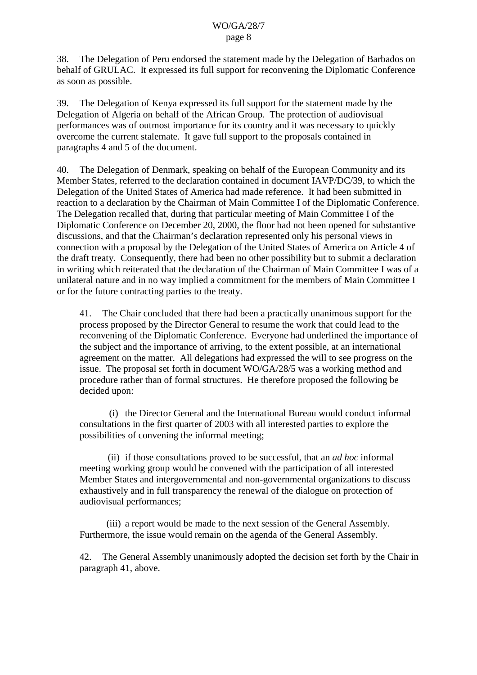38. The Delegation of Peru endorsed the statement made by the Delegation of Barbados on behalf of GRULAC. It expressed its full support for reconvening the Diplomatic Conference as soon as possible.

39. The Delegation of Kenya expressed its full support for the statement made by the Delegation of Algeria on behalf of the African Group. The protection of audiovisual performances was of outmost importance for its country and it was necessary to quickly overcome the current stalemate. It gave full support to the proposals contained in paragraphs 4 and 5 of the document.

40. The Delegation of Denmark, speaking on behalf of the European Community and its Member States, referred to the declaration contained in document IAVP/DC/39, to which the Delegation of the United States of America had made reference. It had been submitted in reaction to a declaration by the Chairman of Main Committee I of the Diplomatic Conference. The Delegation recalled that, during that particular meeting of Main Committee I of the Diplomatic Conference on December 20, 2000, the floor had not been opened for substantive discussions, and that the Chairman's declaration represented only his personal views in connection with a proposal by the Delegation of the United States of America on Article 4 of the draft treaty. Consequently, there had been no other possibility but to submit a declaration in writing which reiterated that the declaration of the Chairman of Main Committee I was of a unilateral nature and in no way implied a commitment for the members of Main Committee I or for the future contracting parties to the treaty.

41. The Chair concluded that there had been a practically unanimous support for the process proposed by the Director General to resume the work that could lead to the reconvening of the Diplomatic Conference. Everyone had underlined the importance of the subject and the importance of arriving, to the extent possible, at an international agreement on the matter. All delegations had expressed the will to see progress on the issue. The proposal set forth in document WO/GA/28/5 was a working method and procedure rather than of formal structures. He therefore proposed the following be decided upon:

(i) the Director General and the International Bureau would conduct informal consultations in the first quarter of 2003 with all interested parties to explore the possibilities of convening the informal meeting;

(ii) if those consultations proved to be successful, that an *ad hoc* informal meeting working group would be convened with the participation of all interested Member States and intergovernmental and non-governmental organizations to discuss exhaustively and in full transparency the renewal of the dialogue on protection of audiovisual performances;

(iii) a report would be made to the next session of the General Assembly. Furthermore, the issue would remain on the agenda of the General Assembly.

42. The General Assembly unanimously adopted the decision set forth by the Chair in paragraph 41, above.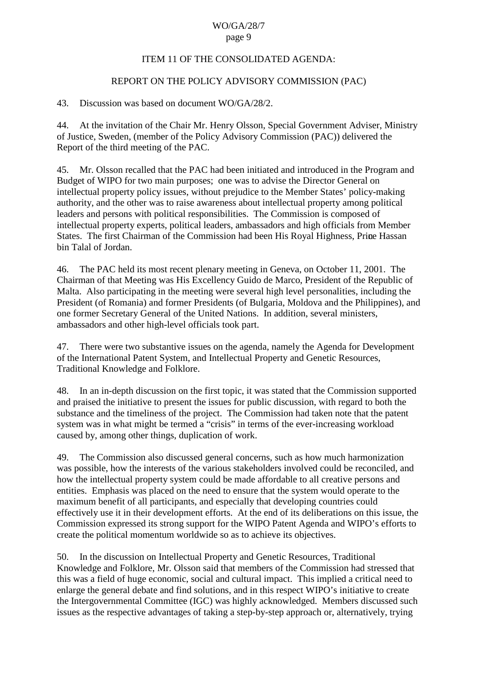#### ITEM 11 OF THE CONSOLIDATED AGENDA:

### REPORT ON THE POLICY ADVISORY COMMISSION (PAC)

#### 43. Discussion was based on document WO/GA/28/2.

44. At the invitation of the Chair Mr. Henry Olsson, Special Government Adviser, Ministry of Justice, Sweden, (member of the Policy Advisory Commission (PAC)) delivered the Report of the third meeting of the PAC.

45. Mr. Olsson recalled that the PAC had been initiated and introduced in the Program and Budget of WIPO for two main purposes; one was to advise the Director General on intellectual property policy issues, without prejudice to the Member States' policy-making authority, and the other was to raise awareness about intellectual property among political leaders and persons with political responsibilities. The Commission is composed of intellectual property experts, political leaders, ambassadors and high officials from Member States. The first Chairman of the Commission had been His Royal Highness, Price Hassan bin Talal of Jordan.

46. The PAC held its most recent plenary meeting in Geneva, on October 11, 2001. The Chairman of that Meeting was His Excellency Guido de Marco, President of the Republic of Malta. Also participating in the meeting were several high level personalities, including the President (of Romania) and former Presidents (of Bulgaria, Moldova and the Philippines), and one former Secretary General of the United Nations. In addition, several ministers, ambassadors and other high-level officials took part.

47. There were two substantive issues on the agenda, namely the Agenda for Development of the International Patent System, and Intellectual Property and Genetic Resources, Traditional Knowledge and Folklore.

48. In an in-depth discussion on the first topic, it was stated that the Commission supported and praised the initiative to present the issues for public discussion, with regard to both the substance and the timeliness of the project. The Commission had taken note that the patent system was in what might be termed a "crisis" in terms of the ever-increasing workload caused by, among other things, duplication of work.

49. The Commission also discussed general concerns, such as how much harmonization was possible, how the interests of the various stakeholders involved could be reconciled, and how the intellectual property system could be made affordable to all creative persons and entities. Emphasis was placed on the need to ensure that the system would operate to the maximum benefit of all participants, and especially that developing countries could effectively use it in their development efforts. At the end of its deliberations on this issue, the Commission expressed its strong support for the WIPO Patent Agenda and WIPO's efforts to create the political momentum worldwide so as to achieve its objectives.

50. In the discussion on Intellectual Property and Genetic Resources, Traditional Knowledge and Folklore, Mr. Olsson said that members of the Commission had stressed that this was a field of huge economic, social and cultural impact. This implied a critical need to enlarge the general debate and find solutions, and in this respect WIPO's initiative to create the Intergovernmental Committee (IGC) was highly acknowledged. Members discussed such issues as the respective advantages of taking a step-by-step approach or, alternatively, trying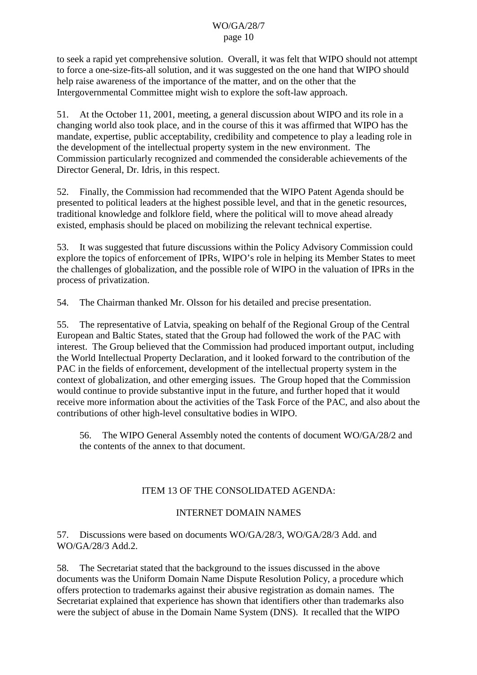to seek a rapid yet comprehensive solution. Overall, it was felt that WIPO should not attempt to force a one-size-fits-all solution, and it was suggested on the one hand that WIPO should help raise awareness of the importance of the matter, and on the other that the Intergovernmental Committee might wish to explore the soft-law approach.

51. At the October 11, 2001, meeting, a general discussion about WIPO and its role in a changing world also took place, and in the course of this it was affirmed that WIPO has the mandate, expertise, public acceptability, credibility and competence to play a leading role in the development of the intellectual property system in the new environment. The Commission particularly recognized and commended the considerable achievements of the Director General, Dr. Idris, in this respect.

52. Finally, the Commission had recommended that the WIPO Patent Agenda should be presented to political leaders at the highest possible level, and that in the genetic resources, traditional knowledge and folklore field, where the political will to move ahead already existed, emphasis should be placed on mobilizing the relevant technical expertise.

53. It was suggested that future discussions within the Policy Advisory Commission could explore the topics of enforcement of IPRs, WIPO's role in helping its Member States to meet the challenges of globalization, and the possible role of WIPO in the valuation of IPRs in the process of privatization.

54. The Chairman thanked Mr. Olsson for his detailed and precise presentation.

55. The representative of Latvia, speaking on behalf of the Regional Group of the Central European and Baltic States, stated that the Group had followed the work of the PAC with interest. The Group believed that the Commission had produced important output, including the World Intellectual Property Declaration, and it looked forward to the contribution of the PAC in the fields of enforcement, development of the intellectual property system in the context of globalization, and other emerging issues. The Group hoped that the Commission would continue to provide substantive input in the future, and further hoped that it would receive more information about the activities of the Task Force of the PAC, and also about the contributions of other high-level consultative bodies in WIPO.

56. The WIPO General Assembly noted the contents of document WO/GA/28/2 and the contents of the annex to that document.

# ITEM 13 OF THE CONSOLIDATED AGENDA:

# INTERNET DOMAIN NAMES

57. Discussions were based on documents WO/GA/28/3, WO/GA/28/3 Add. and WO/GA/28/3 Add.2.

58. The Secretariat stated that the background to the issues discussed in the above documents was the Uniform Domain Name Dispute Resolution Policy, a procedure which offers protection to trademarks against their abusive registration as domain names. The Secretariat explained that experience has shown that identifiers other than trademarks also were the subject of abuse in the Domain Name System (DNS). It recalled that the WIPO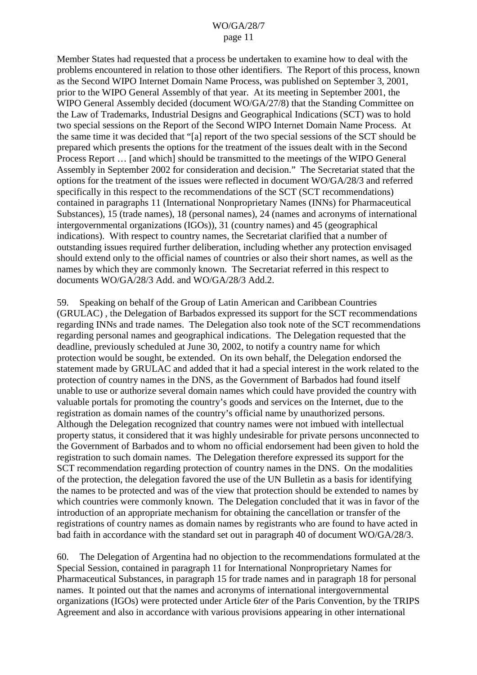Member States had requested that a process be undertaken to examine how to deal with the problems encountered in relation to those other identifiers. The Report of this process, known as the Second WIPO Internet Domain Name Process, was published on September 3, 2001, prior to the WIPO General Assembly of that year. At its meeting in September 2001, the WIPO General Assembly decided (document WO/GA/27/8) that the Standing Committee on the Law of Trademarks, Industrial Designs and Geographical Indications (SCT) was to hold two special sessions on the Report of the Second WIPO Internet Domain Name Process. At the same time it was decided that "[a] report of the two special sessions of the SCT should be prepared which presents the options for the treatment of the issues dealt with in the Second Process Report … [and which] should be transmitted to the meetings of the WIPO General Assembly in September 2002 for consideration and decision." The Secretariat stated that the options for the treatment of the issues were reflected in document WO/GA/28/3 and referred specifically in this respect to the recommendations of the SCT (SCT recommendations) contained in paragraphs 11 (International Nonproprietary Names (INNs) for Pharmaceutical Substances), 15 (trade names), 18 (personal names), 24 (names and acronyms of international intergovernmental organizations (IGOs)), 31 (country names) and 45 (geographical indications). With respect to country names, the Secretariat clarified that a number of outstanding issues required further deliberation, including whether any protection envisaged should extend only to the official names of countries or also their short names, as well as the names by which they are commonly known. The Secretariat referred in this respect to documents WO/GA/28/3 Add. and WO/GA/28/3 Add.2.

59. Speaking on behalf of the Group of Latin American and Caribbean Countries (GRULAC) , the Delegation of Barbados expressed its support for the SCT recommendations regarding INNs and trade names. The Delegation also took note of the SCT recommendations regarding personal names and geographical indications. The Delegation requested that the deadline, previously scheduled at June 30, 2002, to notify a country name for which protection would be sought, be extended. On its own behalf, the Delegation endorsed the statement made by GRULAC and added that it had a special interest in the work related to the protection of country names in the DNS, as the Government of Barbados had found itself unable to use or authorize several domain names which could have provided the country with valuable portals for promoting the country's goods and services on the Internet, due to the registration as domain names of the country's official name by unauthorized persons. Although the Delegation recognized that country names were not imbued with intellectual property status, it considered that it was highly undesirable for private persons unconnected to the Government of Barbados and to whom no official endorsement had been given to hold the registration to such domain names. The Delegation therefore expressed its support for the SCT recommendation regarding protection of country names in the DNS. On the modalities of the protection, the delegation favored the use of the UN Bulletin as a basis for identifying the names to be protected and was of the view that protection should be extended to names by which countries were commonly known. The Delegation concluded that it was in favor of the introduction of an appropriate mechanism for obtaining the cancellation or transfer of the registrations of country names as domain names by registrants who are found to have acted in bad faith in accordance with the standard set out in paragraph 40 of document WO/GA/28/3.

60. The Delegation of Argentina had no objection to the recommendations formulated at the Special Session, contained in paragraph 11 for International Nonproprietary Names for Pharmaceutical Substances, in paragraph 15 for trade names and in paragraph 18 for personal names. It pointed out that the names and acronyms of international intergovernmental organizations (IGOs) were protected under Article 6*ter* of the Paris Convention, by the TRIPS Agreement and also in accordance with various provisions appearing in other international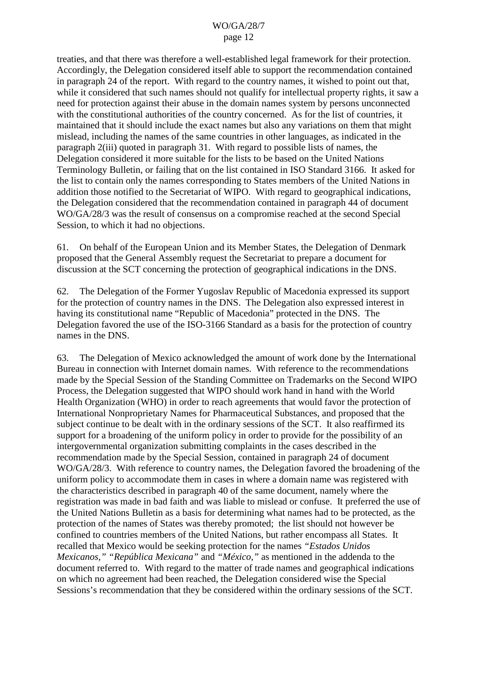treaties, and that there was therefore a well-established legal framework for their protection. Accordingly, the Delegation considered itself able to support the recommendation contained in paragraph 24 of the report. With regard to the country names, it wished to point out that, while it considered that such names should not qualify for intellectual property rights, it saw a need for protection against their abuse in the domain names system by persons unconnected with the constitutional authorities of the country concerned. As for the list of countries, it maintained that it should include the exact names but also any variations on them that might mislead, including the names of the same countries in other languages, as indicated in the paragraph 2(iii) quoted in paragraph 31. With regard to possible lists of names, the Delegation considered it more suitable for the lists to be based on the United Nations Terminology Bulletin, or failing that on the list contained in ISO Standard 3166. It asked for the list to contain only the names corresponding to States members of the United Nations in addition those notified to the Secretariat of WIPO. With regard to geographical indications, the Delegation considered that the recommendation contained in paragraph 44 of document WO/GA/28/3 was the result of consensus on a compromise reached at the second Special Session, to which it had no objections.

61. On behalf of the European Union and its Member States, the Delegation of Denmark proposed that the General Assembly request the Secretariat to prepare a document for discussion at the SCT concerning the protection of geographical indications in the DNS.

62. The Delegation of the Former Yugoslav Republic of Macedonia expressed its support for the protection of country names in the DNS. The Delegation also expressed interest in having its constitutional name "Republic of Macedonia" protected in the DNS. The Delegation favored the use of the ISO-3166 Standard as a basis for the protection of country names in the DNS.

63. The Delegation of Mexico acknowledged the amount of work done by the International Bureau in connection with Internet domain names. With reference to the recommendations made by the Special Session of the Standing Committee on Trademarks on the Second WIPO Process, the Delegation suggested that WIPO should work hand in hand with the World Health Organization (WHO) in order to reach agreements that would favor the protection of International Nonproprietary Names for Pharmaceutical Substances, and proposed that the subject continue to be dealt with in the ordinary sessions of the SCT. It also reaffirmed its support for a broadening of the uniform policy in order to provide for the possibility of an intergovernmental organization submitting complaints in the cases described in the recommendation made by the Special Session, contained in paragraph 24 of document WO/GA/28/3. With reference to country names, the Delegation favored the broadening of the uniform policy to accommodate them in cases in where a domain name was registered with the characteristics described in paragraph 40 of the same document, namely where the registration was made in bad faith and was liable to mislead or confuse. It preferred the use of the United Nations Bulletin as a basis for determining what names had to be protected, as the protection of the names of States was thereby promoted; the list should not however be confined to countries members of the United Nations, but rather encompass all States. It recalled that Mexico would be seeking protection for the names *"Estados Unidos Mexicanos," "República Mexicana"* and *"México,"* as mentioned in the addenda to the document referred to. With regard to the matter of trade names and geographical indications on which no agreement had been reached, the Delegation considered wise the Special Sessions's recommendation that they be considered within the ordinary sessions of the SCT.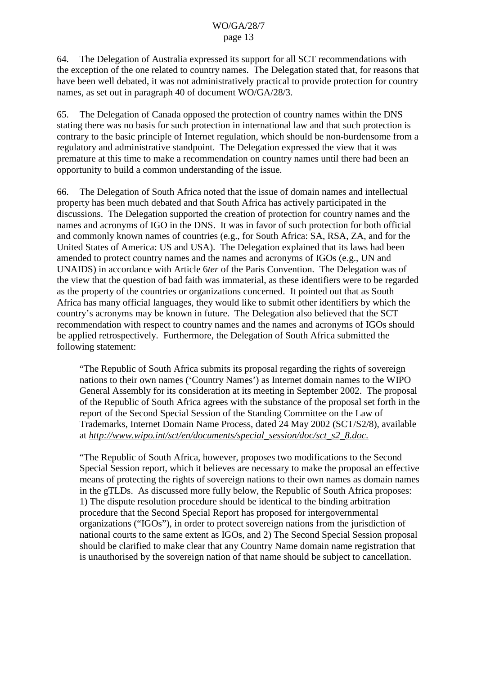64. The Delegation of Australia expressed its support for all SCT recommendations with the exception of the one related to country names. The Delegation stated that, for reasons that have been well debated, it was not administratively practical to provide protection for country names, as set out in paragraph 40 of document WO/GA/28/3.

65. The Delegation of Canada opposed the protection of country names within the DNS stating there was no basis for such protection in international law and that such protection is contrary to the basic principle of Internet regulation, which should be non-burdensome from a regulatory and administrative standpoint. The Delegation expressed the view that it was premature at this time to make a recommendation on country names until there had been an opportunity to build a common understanding of the issue.

66. The Delegation of South Africa noted that the issue of domain names and intellectual property has been much debated and that South Africa has actively participated in the discussions. The Delegation supported the creation of protection for country names and the names and acronyms of IGO in the DNS. It was in favor of such protection for both official and commonly known names of countries (e.g., for South Africa: SA, RSA, ZA, and for the United States of America: US and USA). The Delegation explained that its laws had been amended to protect country names and the names and acronyms of IGOs (e.g., UN and UNAIDS) in accordance with Article 6*ter* of the Paris Convention. The Delegation was of the view that the question of bad faith was immaterial, as these identifiers were to be regarded as the property of the countries or organizations concerned. It pointed out that as South Africa has many official languages, they would like to submit other identifiers by which the country's acronyms may be known in future. The Delegation also believed that the SCT recommendation with respect to country names and the names and acronyms of IGOs should be applied retrospectively. Furthermore, the Delegation of South Africa submitted the following statement:

"The Republic of South Africa submits its proposal regarding the rights of sovereign nations to their own names ('Country Names') as Internet domain names to the WIPO General Assembly for its consideration at its meeting in September 2002. The proposal of the Republic of South Africa agrees with the substance of the proposal set forth in the report of the Second Special Session of the Standing Committee on the Law of Trademarks, Internet Domain Name Process, dated 24 May 2002 (SCT/S2/8), available at *http://www.wipo.int/sct/en/documents/special\_session/doc/sct\_s2\_8.doc*.

"The Republic of South Africa, however, proposes two modifications to the Second Special Session report, which it believes are necessary to make the proposal an effective means of protecting the rights of sovereign nations to their own names as domain names in the gTLDs. As discussed more fully below, the Republic of South Africa proposes: 1) The dispute resolution procedure should be identical to the binding arbitration procedure that the Second Special Report has proposed for intergovernmental organizations ("IGOs"), in order to protect sovereign nations from the jurisdiction of national courts to the same extent as IGOs, and 2) The Second Special Session proposal should be clarified to make clear that any Country Name domain name registration that is unauthorised by the sovereign nation of that name should be subject to cancellation.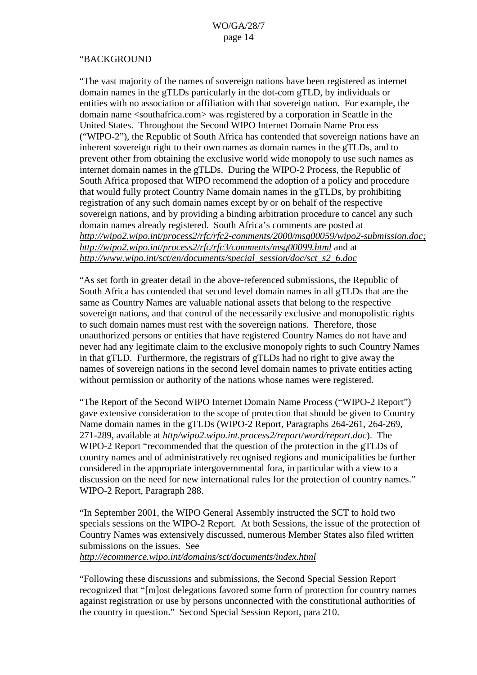# "BACKGROUND

"The vast majority of the names of sovereign nations have been registered as internet domain names in the gTLDs particularly in the dot-com gTLD, by individuals or entities with no association or affiliation with that sovereign nation. For example, the domain name <southafrica.com> was registered by a corporation in Seattle in the United States. Throughout the Second WIPO Internet Domain Name Process ("WIPO-2"), the Republic of South Africa has contended that sovereign nations have an inherent sovereign right to their own names as domain names in the gTLDs, and to prevent other from obtaining the exclusive world wide monopoly to use such names as internet domain names in the gTLDs. During the WIPO-2 Process, the Republic of South Africa proposed that WIPO recommend the adoption of a policy and procedure that would fully protect Country Name domain names in the gTLDs, by prohibiting registration of any such domain names except by or on behalf of the respective sovereign nations, and by providing a binding arbitration procedure to cancel any such domain names already registered. South Africa's comments are posted at *http://wipo2.wipo.int/process2/rfc/rfc2-comments/2000/msg00059/wipo2-submission.doc; http://wipo2.wipo.int/process2/rfc/rfc3/comments/msg00099.html* and at *http://www.wipo.int/sct/en/documents/special\_session/doc/sct\_s2\_6.doc*

"As set forth in greater detail in the above-referenced submissions, the Republic of South Africa has contended that second level domain names in all gTLDs that are the same as Country Names are valuable national assets that belong to the respective sovereign nations, and that control of the necessarily exclusive and monopolistic rights to such domain names must rest with the sovereign nations. Therefore, those unauthorized persons or entities that have registered Country Names do not have and never had any legitimate claim to the exclusive monopoly rights to such Country Names in that gTLD. Furthermore, the registrars of gTLDs had no right to give away the names of sovereign nations in the second level domain names to private entities acting without permission or authority of the nations whose names were registered.

"The Report of the Second WIPO Internet Domain Name Process ("WIPO-2 Report") gave extensive consideration to the scope of protection that should be given to Country Name domain names in the gTLDs (WIPO-2 Report, Paragraphs 264-261, 264-269, 271-289, available at *http/wipo2.wipo.int.process2/report/word/report.doc*). The WIPO-2 Report "recommended that the question of the protection in the gTLDs of country names and of administratively recognised regions and municipalities be further considered in the appropriate intergovernmental fora, in particular with a view to a discussion on the need for new international rules for the protection of country names." WIPO-2 Report, Paragraph 288.

"In September 2001, the WIPO General Assembly instructed the SCT to hold two specials sessions on the WIPO-2 Report. At both Sessions, the issue of the protection of Country Names was extensively discussed, numerous Member States also filed written submissions on the issues. See

*http://ecommerce.wipo.int/domains/sct/documents/index.html*

"Following these discussions and submissions, the Second Special Session Report recognized that "[m]ost delegations favored some form of protection for country names against registration or use by persons unconnected with the constitutional authorities of the country in question." Second Special Session Report, para 210.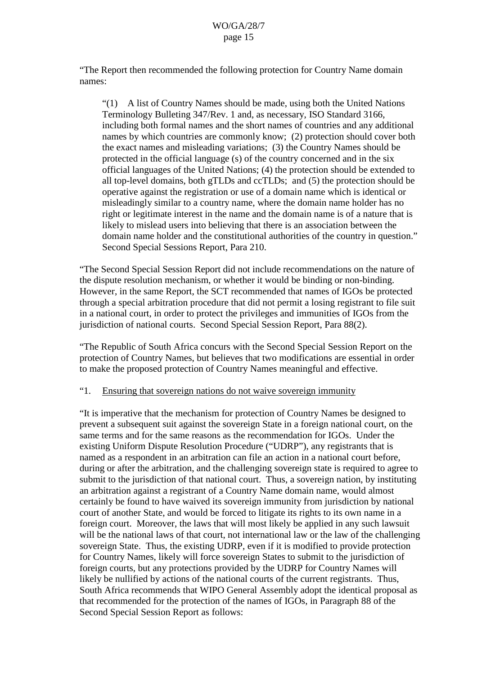"The Report then recommended the following protection for Country Name domain names:

"(1) A list of Country Names should be made, using both the United Nations Terminology Bulleting 347/Rev. 1 and, as necessary, ISO Standard 3166, including both formal names and the short names of countries and any additional names by which countries are commonly know; (2) protection should cover both the exact names and misleading variations; (3) the Country Names should be protected in the official language (s) of the country concerned and in the six official languages of the United Nations; (4) the protection should be extended to all top-level domains, both gTLDs and ccTLDs; and (5) the protection should be operative against the registration or use of a domain name which is identical or misleadingly similar to a country name, where the domain name holder has no right or legitimate interest in the name and the domain name is of a nature that is likely to mislead users into believing that there is an association between the domain name holder and the constitutional authorities of the country in question." Second Special Sessions Report, Para 210.

"The Second Special Session Report did not include recommendations on the nature of the dispute resolution mechanism, or whether it would be binding or non-binding. However, in the same Report, the SCT recommended that names of IGOs be protected through a special arbitration procedure that did not permit a losing registrant to file suit in a national court, in order to protect the privileges and immunities of IGOs from the jurisdiction of national courts. Second Special Session Report, Para 88(2).

"The Republic of South Africa concurs with the Second Special Session Report on the protection of Country Names, but believes that two modifications are essential in order to make the proposed protection of Country Names meaningful and effective.

#### "1. Ensuring that sovereign nations do not waive sovereign immunity

"It is imperative that the mechanism for protection of Country Names be designed to prevent a subsequent suit against the sovereign State in a foreign national court, on the same terms and for the same reasons as the recommendation for IGOs. Under the existing Uniform Dispute Resolution Procedure ("UDRP"), any registrants that is named as a respondent in an arbitration can file an action in a national court before, during or after the arbitration, and the challenging sovereign state is required to agree to submit to the jurisdiction of that national court. Thus, a sovereign nation, by instituting an arbitration against a registrant of a Country Name domain name, would almost certainly be found to have waived its sovereign immunity from jurisdiction by national court of another State, and would be forced to litigate its rights to its own name in a foreign court. Moreover, the laws that will most likely be applied in any such lawsuit will be the national laws of that court, not international law or the law of the challenging sovereign State. Thus, the existing UDRP, even if it is modified to provide protection for Country Names, likely will force sovereign States to submit to the jurisdiction of foreign courts, but any protections provided by the UDRP for Country Names will likely be nullified by actions of the national courts of the current registrants. Thus, South Africa recommends that WIPO General Assembly adopt the identical proposal as that recommended for the protection of the names of IGOs, in Paragraph 88 of the Second Special Session Report as follows: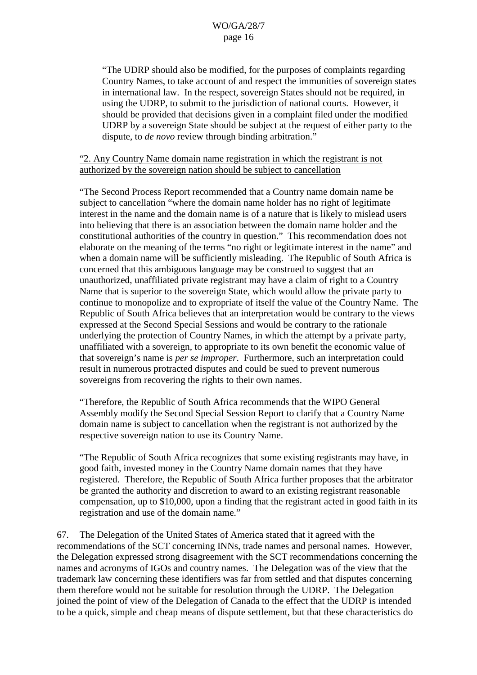"The UDRP should also be modified, for the purposes of complaints regarding Country Names, to take account of and respect the immunities of sovereign states in international law. In the respect, sovereign States should not be required, in using the UDRP, to submit to the jurisdiction of national courts. However, it should be provided that decisions given in a complaint filed under the modified UDRP by a sovereign State should be subject at the request of either party to the dispute, to *de novo* review through binding arbitration."

# "2. Any Country Name domain name registration in which the registrant is not authorized by the sovereign nation should be subject to cancellation

"The Second Process Report recommended that a Country name domain name be subject to cancellation "where the domain name holder has no right of legitimate interest in the name and the domain name is of a nature that is likely to mislead users into believing that there is an association between the domain name holder and the constitutional authorities of the country in question." This recommendation does not elaborate on the meaning of the terms "no right or legitimate interest in the name" and when a domain name will be sufficiently misleading. The Republic of South Africa is concerned that this ambiguous language may be construed to suggest that an unauthorized, unaffiliated private registrant may have a claim of right to a Country Name that is superior to the sovereign State, which would allow the private party to continue to monopolize and to expropriate of itself the value of the Country Name. The Republic of South Africa believes that an interpretation would be contrary to the views expressed at the Second Special Sessions and would be contrary to the rationale underlying the protection of Country Names, in which the attempt by a private party, unaffiliated with a sovereign, to appropriate to its own benefit the economic value of that sovereign's name is *per se improper*. Furthermore, such an interpretation could result in numerous protracted disputes and could be sued to prevent numerous sovereigns from recovering the rights to their own names.

"Therefore, the Republic of South Africa recommends that the WIPO General Assembly modify the Second Special Session Report to clarify that a Country Name domain name is subject to cancellation when the registrant is not authorized by the respective sovereign nation to use its Country Name.

"The Republic of South Africa recognizes that some existing registrants may have, in good faith, invested money in the Country Name domain names that they have registered. Therefore, the Republic of South Africa further proposes that the arbitrator be granted the authority and discretion to award to an existing registrant reasonable compensation, up to \$10,000, upon a finding that the registrant acted in good faith in its registration and use of the domain name."

67. The Delegation of the United States of America stated that it agreed with the recommendations of the SCT concerning INNs, trade names and personal names. However, the Delegation expressed strong disagreement with the SCT recommendations concerning the names and acronyms of IGOs and country names. The Delegation was of the view that the trademark law concerning these identifiers was far from settled and that disputes concerning them therefore would not be suitable for resolution through the UDRP. The Delegation joined the point of view of the Delegation of Canada to the effect that the UDRP is intended to be a quick, simple and cheap means of dispute settlement, but that these characteristics do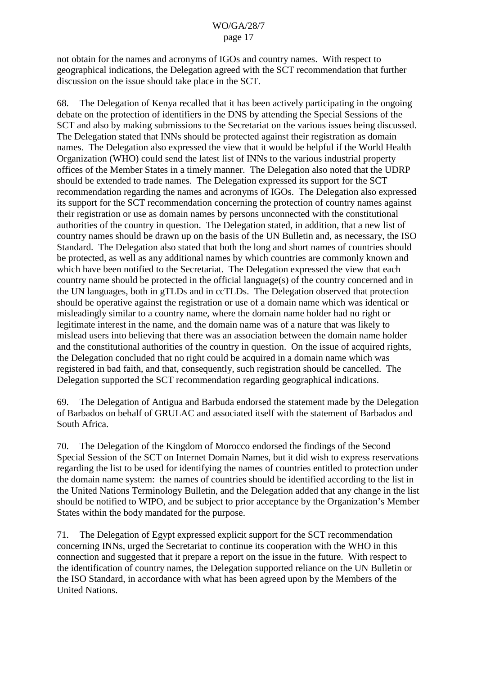not obtain for the names and acronyms of IGOs and country names. With respect to geographical indications, the Delegation agreed with the SCT recommendation that further discussion on the issue should take place in the SCT.

68. The Delegation of Kenya recalled that it has been actively participating in the ongoing debate on the protection of identifiers in the DNS by attending the Special Sessions of the SCT and also by making submissions to the Secretariat on the various issues being discussed. The Delegation stated that INNs should be protected against their registration as domain names. The Delegation also expressed the view that it would be helpful if the World Health Organization (WHO) could send the latest list of INNs to the various industrial property offices of the Member States in a timely manner. The Delegation also noted that the UDRP should be extended to trade names. The Delegation expressed its support for the SCT recommendation regarding the names and acronyms of IGOs. The Delegation also expressed its support for the SCT recommendation concerning the protection of country names against their registration or use as domain names by persons unconnected with the constitutional authorities of the country in question. The Delegation stated, in addition, that a new list of country names should be drawn up on the basis of the UN Bulletin and, as necessary, the ISO Standard. The Delegation also stated that both the long and short names of countries should be protected, as well as any additional names by which countries are commonly known and which have been notified to the Secretariat. The Delegation expressed the view that each country name should be protected in the official language(s) of the country concerned and in the UN languages, both in gTLDs and in ccTLDs. The Delegation observed that protection should be operative against the registration or use of a domain name which was identical or misleadingly similar to a country name, where the domain name holder had no right or legitimate interest in the name, and the domain name was of a nature that was likely to mislead users into believing that there was an association between the domain name holder and the constitutional authorities of the country in question. On the issue of acquired rights, the Delegation concluded that no right could be acquired in a domain name which was registered in bad faith, and that, consequently, such registration should be cancelled. The Delegation supported the SCT recommendation regarding geographical indications.

69. The Delegation of Antigua and Barbuda endorsed the statement made by the Delegation of Barbados on behalf of GRULAC and associated itself with the statement of Barbados and South Africa.

70. The Delegation of the Kingdom of Morocco endorsed the findings of the Second Special Session of the SCT on Internet Domain Names, but it did wish to express reservations regarding the list to be used for identifying the names of countries entitled to protection under the domain name system: the names of countries should be identified according to the list in the United Nations Terminology Bulletin, and the Delegation added that any change in the list should be notified to WIPO, and be subject to prior acceptance by the Organization's Member States within the body mandated for the purpose.

71. The Delegation of Egypt expressed explicit support for the SCT recommendation concerning INNs, urged the Secretariat to continue its cooperation with the WHO in this connection and suggested that it prepare a report on the issue in the future. With respect to the identification of country names, the Delegation supported reliance on the UN Bulletin or the ISO Standard, in accordance with what has been agreed upon by the Members of the United Nations.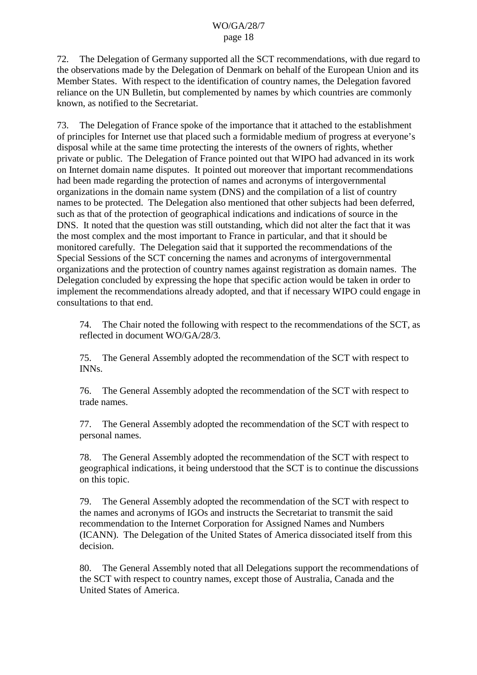72. The Delegation of Germany supported all the SCT recommendations, with due regard to the observations made by the Delegation of Denmark on behalf of the European Union and its Member States. With respect to the identification of country names, the Delegation favored reliance on the UN Bulletin, but complemented by names by which countries are commonly known, as notified to the Secretariat.

73. The Delegation of France spoke of the importance that it attached to the establishment of principles for Internet use that placed such a formidable medium of progress at everyone's disposal while at the same time protecting the interests of the owners of rights, whether private or public. The Delegation of France pointed out that WIPO had advanced in its work on Internet domain name disputes. It pointed out moreover that important recommendations had been made regarding the protection of names and acronyms of intergovernmental organizations in the domain name system (DNS) and the compilation of a list of country names to be protected. The Delegation also mentioned that other subjects had been deferred, such as that of the protection of geographical indications and indications of source in the DNS. It noted that the question was still outstanding, which did not alter the fact that it was the most complex and the most important to France in particular, and that it should be monitored carefully. The Delegation said that it supported the recommendations of the Special Sessions of the SCT concerning the names and acronyms of intergovernmental organizations and the protection of country names against registration as domain names. The Delegation concluded by expressing the hope that specific action would be taken in order to implement the recommendations already adopted, and that if necessary WIPO could engage in consultations to that end.

74. The Chair noted the following with respect to the recommendations of the SCT, as reflected in document WO/GA/28/3.

75. The General Assembly adopted the recommendation of the SCT with respect to INNs.

76. The General Assembly adopted the recommendation of the SCT with respect to trade names.

77. The General Assembly adopted the recommendation of the SCT with respect to personal names.

78. The General Assembly adopted the recommendation of the SCT with respect to geographical indications, it being understood that the SCT is to continue the discussions on this topic.

79. The General Assembly adopted the recommendation of the SCT with respect to the names and acronyms of IGOs and instructs the Secretariat to transmit the said recommendation to the Internet Corporation for Assigned Names and Numbers (ICANN). The Delegation of the United States of America dissociated itself from this decision.

80. The General Assembly noted that all Delegations support the recommendations of the SCT with respect to country names, except those of Australia, Canada and the United States of America.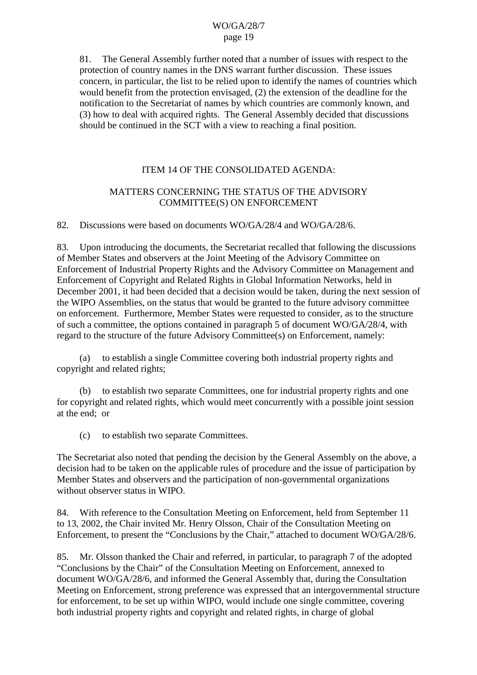81. The General Assembly further noted that a number of issues with respect to the protection of country names in the DNS warrant further discussion. These issues concern, in particular, the list to be relied upon to identify the names of countries which would benefit from the protection envisaged, (2) the extension of the deadline for the notification to the Secretariat of names by which countries are commonly known, and (3) how to deal with acquired rights. The General Assembly decided that discussions should be continued in the SCT with a view to reaching a final position.

# ITEM 14 OF THE CONSOLIDATED AGENDA:

# MATTERS CONCERNING THE STATUS OF THE ADVISORY COMMITTEE(S) ON ENFORCEMENT

82. Discussions were based on documents WO/GA/28/4 and WO/GA/28/6.

83. Upon introducing the documents, the Secretariat recalled that following the discussions of Member States and observers at the Joint Meeting of the Advisory Committee on Enforcement of Industrial Property Rights and the Advisory Committee on Management and Enforcement of Copyright and Related Rights in Global Information Networks, held in December 2001, it had been decided that a decision would be taken, during the next session of the WIPO Assemblies, on the status that would be granted to the future advisory committee on enforcement. Furthermore, Member States were requested to consider, as to the structure of such a committee, the options contained in paragraph 5 of document WO/GA/28/4, with regard to the structure of the future Advisory Committee(s) on Enforcement, namely:

(a) to establish a single Committee covering both industrial property rights and copyright and related rights;

(b) to establish two separate Committees, one for industrial property rights and one for copyright and related rights, which would meet concurrently with a possible joint session at the end; or

(c) to establish two separate Committees.

The Secretariat also noted that pending the decision by the General Assembly on the above, a decision had to be taken on the applicable rules of procedure and the issue of participation by Member States and observers and the participation of non-governmental organizations without observer status in WIPO.

84. With reference to the Consultation Meeting on Enforcement, held from September 11 to 13, 2002, the Chair invited Mr. Henry Olsson, Chair of the Consultation Meeting on Enforcement, to present the "Conclusions by the Chair," attached to document WO/GA/28/6.

85. Mr. Olsson thanked the Chair and referred, in particular, to paragraph 7 of the adopted "Conclusions by the Chair" of the Consultation Meeting on Enforcement, annexed to document WO/GA/28/6, and informed the General Assembly that, during the Consultation Meeting on Enforcement, strong preference was expressed that an intergovernmental structure for enforcement, to be set up within WIPO, would include one single committee, covering both industrial property rights and copyright and related rights, in charge of global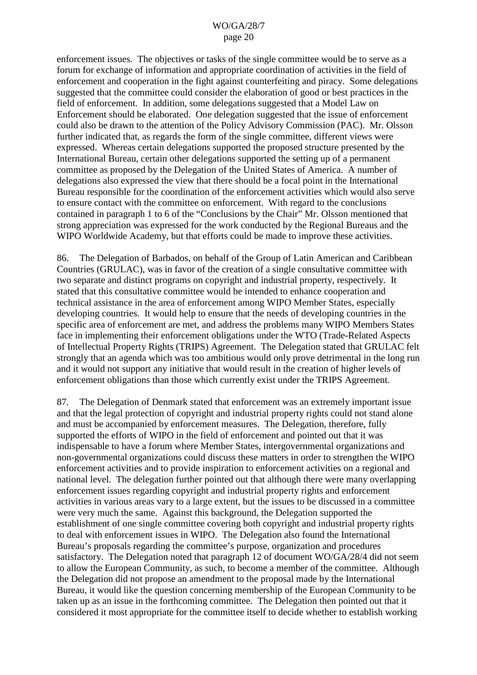enforcement issues. The objectives or tasks of the single committee would be to serve as a forum for exchange of information and appropriate coordination of activities in the field of enforcement and cooperation in the fight against counterfeiting and piracy. Some delegations suggested that the committee could consider the elaboration of good or best practices in the field of enforcement. In addition, some delegations suggested that a Model Law on Enforcement should be elaborated. One delegation suggested that the issue of enforcement could also be drawn to the attention of the Policy Advisory Commission (PAC). Mr. Olsson further indicated that, as regards the form of the single committee, different views were expressed. Whereas certain delegations supported the proposed structure presented by the International Bureau, certain other delegations supported the setting up of a permanent committee as proposed by the Delegation of the United States of America. A number of delegations also expressed the view that there should be a focal point in the International Bureau responsible for the coordination of the enforcement activities which would also serve to ensure contact with the committee on enforcement. With regard to the conclusions contained in paragraph 1 to 6 of the "Conclusions by the Chair" Mr. Olsson mentioned that strong appreciation was expressed for the work conducted by the Regional Bureaus and the WIPO Worldwide Academy, but that efforts could be made to improve these activities.

86. The Delegation of Barbados, on behalf of the Group of Latin American and Caribbean Countries (GRULAC), was in favor of the creation of a single consultative committee with two separate and distinct programs on copyright and industrial property, respectively. It stated that this consultative committee would be intended to enhance cooperation and technical assistance in the area of enforcement among WIPO Member States, especially developing countries. It would help to ensure that the needs of developing countries in the specific area of enforcement are met, and address the problems many WIPO Members States face in implementing their enforcement obligations under the WTO (Trade-Related Aspects of Intellectual Property Rights (TRIPS) Agreement. The Delegation stated that GRULAC felt strongly that an agenda which was too ambitious would only prove detrimental in the long run and it would not support any initiative that would result in the creation of higher levels of enforcement obligations than those which currently exist under the TRIPS Agreement.

87. The Delegation of Denmark stated that enforcement was an extremely important issue and that the legal protection of copyright and industrial property rights could not stand alone and must be accompanied by enforcement measures. The Delegation, therefore, fully supported the efforts of WIPO in the field of enforcement and pointed out that it was indispensable to have a forum where Member States, intergovernmental organizations and non-governmental organizations could discuss these matters in order to strengthen the WIPO enforcement activities and to provide inspiration to enforcement activities on a regional and national level. The delegation further pointed out that although there were many overlapping enforcement issues regarding copyright and industrial property rights and enforcement activities in various areas vary to a large extent, but the issues to be discussed in a committee were very much the same. Against this background, the Delegation supported the establishment of one single committee covering both copyright and industrial property rights to deal with enforcement issues in WIPO. The Delegation also found the International Bureau's proposals regarding the committee's purpose, organization and procedures satisfactory. The Delegation noted that paragraph 12 of document WO/GA/28/4 did not seem to allow the European Community, as such, to become a member of the committee. Although the Delegation did not propose an amendment to the proposal made by the International Bureau, it would like the question concerning membership of the European Community to be taken up as an issue in the forthcoming committee. The Delegation then pointed out that it considered it most appropriate for the committee itself to decide whether to establish working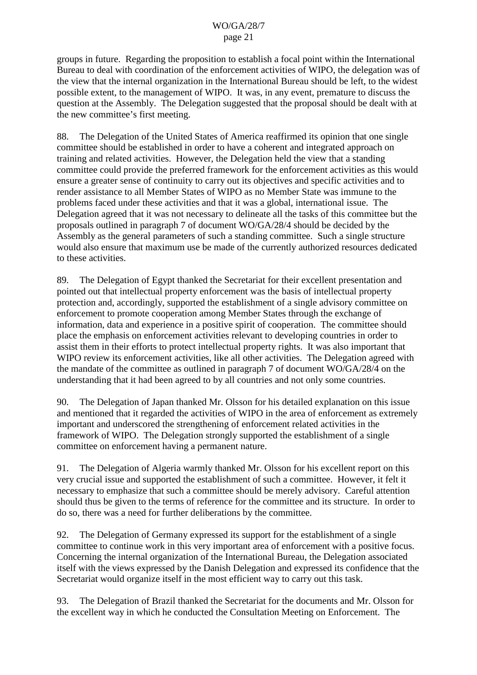groups in future. Regarding the proposition to establish a focal point within the International Bureau to deal with coordination of the enforcement activities of WIPO, the delegation was of the view that the internal organization in the International Bureau should be left, to the widest possible extent, to the management of WIPO. It was, in any event, premature to discuss the question at the Assembly. The Delegation suggested that the proposal should be dealt with at the new committee's first meeting.

88. The Delegation of the United States of America reaffirmed its opinion that one single committee should be established in order to have a coherent and integrated approach on training and related activities. However, the Delegation held the view that a standing committee could provide the preferred framework for the enforcement activities as this would ensure a greater sense of continuity to carry out its objectives and specific activities and to render assistance to all Member States of WIPO as no Member State was immune to the problems faced under these activities and that it was a global, international issue. The Delegation agreed that it was not necessary to delineate all the tasks of this committee but the proposals outlined in paragraph 7 of document WO/GA/28/4 should be decided by the Assembly as the general parameters of such a standing committee. Such a single structure would also ensure that maximum use be made of the currently authorized resources dedicated to these activities.

89. The Delegation of Egypt thanked the Secretariat for their excellent presentation and pointed out that intellectual property enforcement was the basis of intellectual property protection and, accordingly, supported the establishment of a single advisory committee on enforcement to promote cooperation among Member States through the exchange of information, data and experience in a positive spirit of cooperation. The committee should place the emphasis on enforcement activities relevant to developing countries in order to assist them in their efforts to protect intellectual property rights. It was also important that WIPO review its enforcement activities, like all other activities. The Delegation agreed with the mandate of the committee as outlined in paragraph 7 of document WO/GA/28/4 on the understanding that it had been agreed to by all countries and not only some countries.

90. The Delegation of Japan thanked Mr. Olsson for his detailed explanation on this issue and mentioned that it regarded the activities of WIPO in the area of enforcement as extremely important and underscored the strengthening of enforcement related activities in the framework of WIPO. The Delegation strongly supported the establishment of a single committee on enforcement having a permanent nature.

91. The Delegation of Algeria warmly thanked Mr. Olsson for his excellent report on this very crucial issue and supported the establishment of such a committee. However, it felt it necessary to emphasize that such a committee should be merely advisory. Careful attention should thus be given to the terms of reference for the committee and its structure. In order to do so, there was a need for further deliberations by the committee.

92. The Delegation of Germany expressed its support for the establishment of a single committee to continue work in this very important area of enforcement with a positive focus. Concerning the internal organization of the International Bureau, the Delegation associated itself with the views expressed by the Danish Delegation and expressed its confidence that the Secretariat would organize itself in the most efficient way to carry out this task.

93. The Delegation of Brazil thanked the Secretariat for the documents and Mr. Olsson for the excellent way in which he conducted the Consultation Meeting on Enforcement. The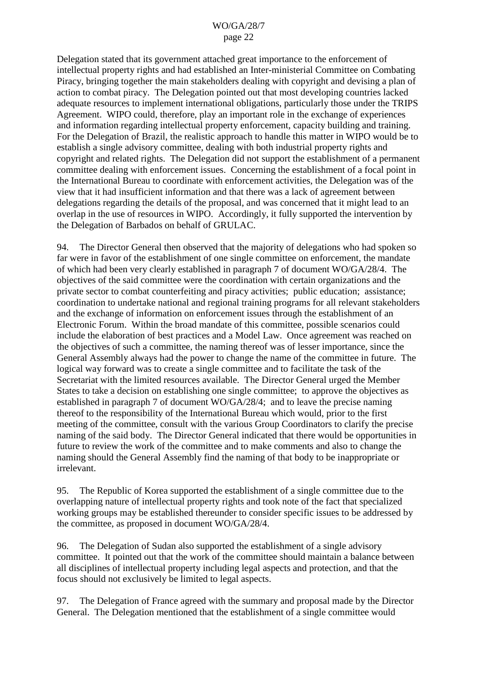Delegation stated that its government attached great importance to the enforcement of intellectual property rights and had established an Inter-ministerial Committee on Combating Piracy, bringing together the main stakeholders dealing with copyright and devising a plan of action to combat piracy. The Delegation pointed out that most developing countries lacked adequate resources to implement international obligations, particularly those under the TRIPS Agreement. WIPO could, therefore, play an important role in the exchange of experiences and information regarding intellectual property enforcement, capacity building and training. For the Delegation of Brazil, the realistic approach to handle this matter in WIPO would be to establish a single advisory committee, dealing with both industrial property rights and copyright and related rights. The Delegation did not support the establishment of a permanent committee dealing with enforcement issues. Concerning the establishment of a focal point in the International Bureau to coordinate with enforcement activities, the Delegation was of the view that it had insufficient information and that there was a lack of agreement between delegations regarding the details of the proposal, and was concerned that it might lead to an overlap in the use of resources in WIPO. Accordingly, it fully supported the intervention by the Delegation of Barbados on behalf of GRULAC.

94. The Director General then observed that the majority of delegations who had spoken so far were in favor of the establishment of one single committee on enforcement, the mandate of which had been very clearly established in paragraph 7 of document WO/GA/28/4. The objectives of the said committee were the coordination with certain organizations and the private sector to combat counterfeiting and piracy activities; public education; assistance; coordination to undertake national and regional training programs for all relevant stakeholders and the exchange of information on enforcement issues through the establishment of an Electronic Forum. Within the broad mandate of this committee, possible scenarios could include the elaboration of best practices and a Model Law. Once agreement was reached on the objectives of such a committee, the naming thereof was of lesser importance, since the General Assembly always had the power to change the name of the committee in future. The logical way forward was to create a single committee and to facilitate the task of the Secretariat with the limited resources available. The Director General urged the Member States to take a decision on establishing one single committee; to approve the objectives as established in paragraph 7 of document WO/GA/28/4; and to leave the precise naming thereof to the responsibility of the International Bureau which would, prior to the first meeting of the committee, consult with the various Group Coordinators to clarify the precise naming of the said body. The Director General indicated that there would be opportunities in future to review the work of the committee and to make comments and also to change the naming should the General Assembly find the naming of that body to be inappropriate or irrelevant.

95. The Republic of Korea supported the establishment of a single committee due to the overlapping nature of intellectual property rights and took note of the fact that specialized working groups may be established thereunder to consider specific issues to be addressed by the committee, as proposed in document WO/GA/28/4.

96. The Delegation of Sudan also supported the establishment of a single advisory committee. It pointed out that the work of the committee should maintain a balance between all disciplines of intellectual property including legal aspects and protection, and that the focus should not exclusively be limited to legal aspects.

97. The Delegation of France agreed with the summary and proposal made by the Director General. The Delegation mentioned that the establishment of a single committee would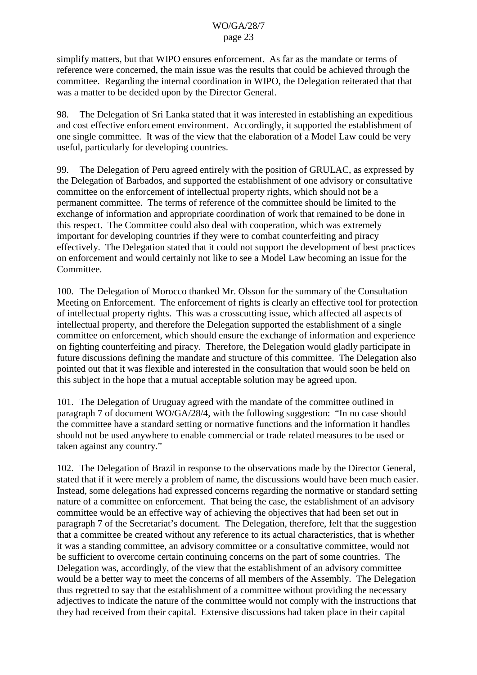simplify matters, but that WIPO ensures enforcement. As far as the mandate or terms of reference were concerned, the main issue was the results that could be achieved through the committee. Regarding the internal coordination in WIPO, the Delegation reiterated that that was a matter to be decided upon by the Director General.

98. The Delegation of Sri Lanka stated that it was interested in establishing an expeditious and cost effective enforcement environment. Accordingly, it supported the establishment of one single committee. It was of the view that the elaboration of a Model Law could be very useful, particularly for developing countries.

99. The Delegation of Peru agreed entirely with the position of GRULAC, as expressed by the Delegation of Barbados, and supported the establishment of one advisory or consultative committee on the enforcement of intellectual property rights, which should not be a permanent committee. The terms of reference of the committee should be limited to the exchange of information and appropriate coordination of work that remained to be done in this respect. The Committee could also deal with cooperation, which was extremely important for developing countries if they were to combat counterfeiting and piracy effectively. The Delegation stated that it could not support the development of best practices on enforcement and would certainly not like to see a Model Law becoming an issue for the Committee.

100. The Delegation of Morocco thanked Mr. Olsson for the summary of the Consultation Meeting on Enforcement. The enforcement of rights is clearly an effective tool for protection of intellectual property rights. This was a crosscutting issue, which affected all aspects of intellectual property, and therefore the Delegation supported the establishment of a single committee on enforcement, which should ensure the exchange of information and experience on fighting counterfeiting and piracy. Therefore, the Delegation would gladly participate in future discussions defining the mandate and structure of this committee. The Delegation also pointed out that it was flexible and interested in the consultation that would soon be held on this subject in the hope that a mutual acceptable solution may be agreed upon.

101. The Delegation of Uruguay agreed with the mandate of the committee outlined in paragraph 7 of document WO/GA/28/4, with the following suggestion: "In no case should the committee have a standard setting or normative functions and the information it handles should not be used anywhere to enable commercial or trade related measures to be used or taken against any country."

102. The Delegation of Brazil in response to the observations made by the Director General, stated that if it were merely a problem of name, the discussions would have been much easier. Instead, some delegations had expressed concerns regarding the normative or standard setting nature of a committee on enforcement. That being the case, the establishment of an advisory committee would be an effective way of achieving the objectives that had been set out in paragraph 7 of the Secretariat's document. The Delegation, therefore, felt that the suggestion that a committee be created without any reference to its actual characteristics, that is whether it was a standing committee, an advisory committee or a consultative committee, would not be sufficient to overcome certain continuing concerns on the part of some countries. The Delegation was, accordingly, of the view that the establishment of an advisory committee would be a better way to meet the concerns of all members of the Assembly. The Delegation thus regretted to say that the establishment of a committee without providing the necessary adjectives to indicate the nature of the committee would not comply with the instructions that they had received from their capital. Extensive discussions had taken place in their capital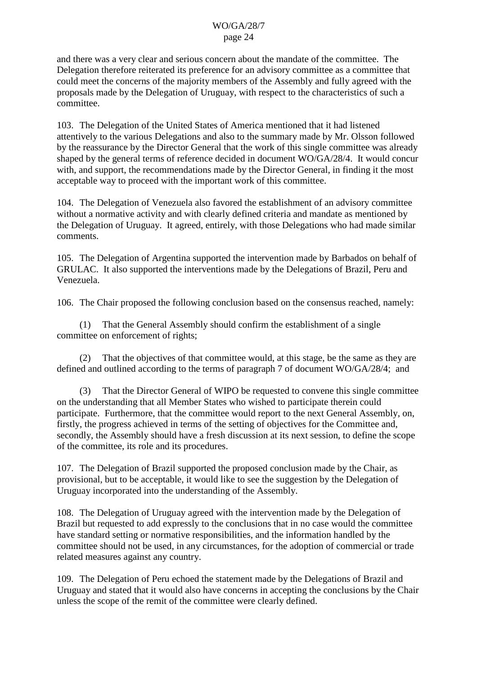and there was a very clear and serious concern about the mandate of the committee. The Delegation therefore reiterated its preference for an advisory committee as a committee that could meet the concerns of the majority members of the Assembly and fully agreed with the proposals made by the Delegation of Uruguay, with respect to the characteristics of such a committee.

103. The Delegation of the United States of America mentioned that it had listened attentively to the various Delegations and also to the summary made by Mr. Olsson followed by the reassurance by the Director General that the work of this single committee was already shaped by the general terms of reference decided in document WO/GA/28/4. It would concur with, and support, the recommendations made by the Director General, in finding it the most acceptable way to proceed with the important work of this committee.

104. The Delegation of Venezuela also favored the establishment of an advisory committee without a normative activity and with clearly defined criteria and mandate as mentioned by the Delegation of Uruguay. It agreed, entirely, with those Delegations who had made similar comments.

105. The Delegation of Argentina supported the intervention made by Barbados on behalf of GRULAC. It also supported the interventions made by the Delegations of Brazil, Peru and Venezuela.

106. The Chair proposed the following conclusion based on the consensus reached, namely:

(1) That the General Assembly should confirm the establishment of a single committee on enforcement of rights;

That the objectives of that committee would, at this stage, be the same as they are defined and outlined according to the terms of paragraph 7 of document WO/GA/28/4; and

(3) That the Director General of WIPO be requested to convene this single committee on the understanding that all Member States who wished to participate therein could participate. Furthermore, that the committee would report to the next General Assembly, on, firstly, the progress achieved in terms of the setting of objectives for the Committee and, secondly, the Assembly should have a fresh discussion at its next session, to define the scope of the committee, its role and its procedures.

107. The Delegation of Brazil supported the proposed conclusion made by the Chair, as provisional, but to be acceptable, it would like to see the suggestion by the Delegation of Uruguay incorporated into the understanding of the Assembly.

108. The Delegation of Uruguay agreed with the intervention made by the Delegation of Brazil but requested to add expressly to the conclusions that in no case would the committee have standard setting or normative responsibilities, and the information handled by the committee should not be used, in any circumstances, for the adoption of commercial or trade related measures against any country.

109. The Delegation of Peru echoed the statement made by the Delegations of Brazil and Uruguay and stated that it would also have concerns in accepting the conclusions by the Chair unless the scope of the remit of the committee were clearly defined.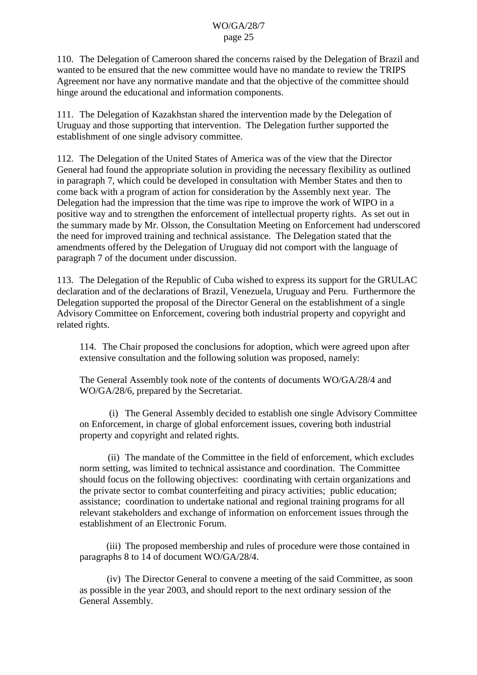110. The Delegation of Cameroon shared the concerns raised by the Delegation of Brazil and wanted to be ensured that the new committee would have no mandate to review the TRIPS Agreement nor have any normative mandate and that the objective of the committee should hinge around the educational and information components.

111. The Delegation of Kazakhstan shared the intervention made by the Delegation of Uruguay and those supporting that intervention. The Delegation further supported the establishment of one single advisory committee.

112. The Delegation of the United States of America was of the view that the Director General had found the appropriate solution in providing the necessary flexibility as outlined in paragraph 7, which could be developed in consultation with Member States and then to come back with a program of action for consideration by the Assembly next year. The Delegation had the impression that the time was ripe to improve the work of WIPO in a positive way and to strengthen the enforcement of intellectual property rights. As set out in the summary made by Mr. Olsson, the Consultation Meeting on Enforcement had underscored the need for improved training and technical assistance. The Delegation stated that the amendments offered by the Delegation of Uruguay did not comport with the language of paragraph 7 of the document under discussion.

113. The Delegation of the Republic of Cuba wished to express its support for the GRULAC declaration and of the declarations of Brazil, Venezuela, Uruguay and Peru. Furthermore the Delegation supported the proposal of the Director General on the establishment of a single Advisory Committee on Enforcement, covering both industrial property and copyright and related rights.

114. The Chair proposed the conclusions for adoption, which were agreed upon after extensive consultation and the following solution was proposed, namely:

The General Assembly took note of the contents of documents WO/GA/28/4 and WO/GA/28/6, prepared by the Secretariat.

(i) The General Assembly decided to establish one single Advisory Committee on Enforcement, in charge of global enforcement issues, covering both industrial property and copyright and related rights.

(ii) The mandate of the Committee in the field of enforcement, which excludes norm setting, was limited to technical assistance and coordination. The Committee should focus on the following objectives: coordinating with certain organizations and the private sector to combat counterfeiting and piracy activities; public education; assistance; coordination to undertake national and regional training programs for all relevant stakeholders and exchange of information on enforcement issues through the establishment of an Electronic Forum.

(iii) The proposed membership and rules of procedure were those contained in paragraphs 8 to 14 of document WO/GA/28/4.

(iv) The Director General to convene a meeting of the said Committee, as soon as possible in the year 2003, and should report to the next ordinary session of the General Assembly.